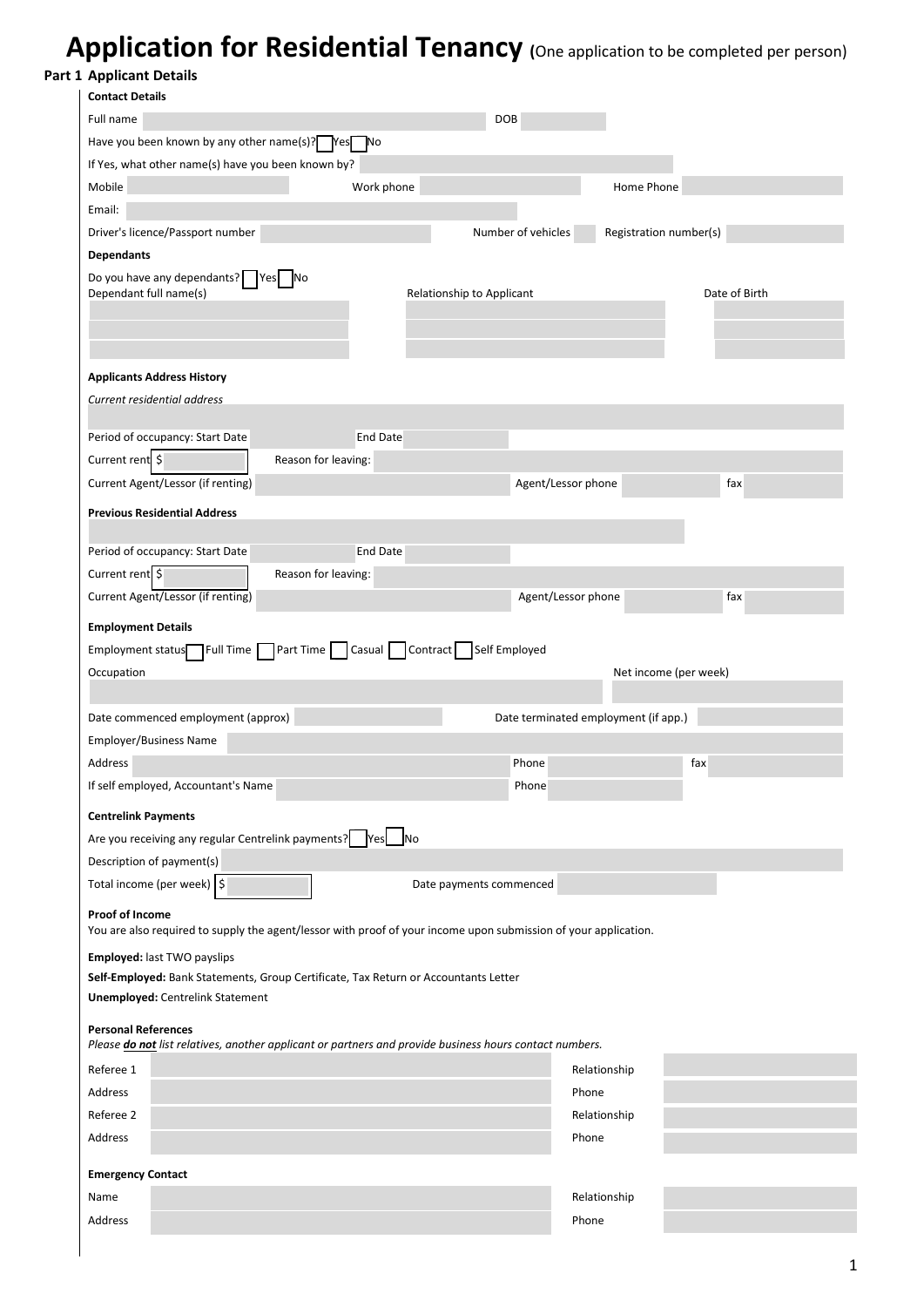## **Application for Residential Tenancy (**One application to be completed per person)

**Part 1 Applicant Details**

| <b>Contact Details</b>                                                                                                                                                                                                                                                                     |                     |                                                                                                                 |                                      |                              |
|--------------------------------------------------------------------------------------------------------------------------------------------------------------------------------------------------------------------------------------------------------------------------------------------|---------------------|-----------------------------------------------------------------------------------------------------------------|--------------------------------------|------------------------------|
| Full name                                                                                                                                                                                                                                                                                  |                     | <b>DOB</b>                                                                                                      |                                      |                              |
| Have you been known by any other name(s)? $\triangledown$ Yes $\neg$ No                                                                                                                                                                                                                    |                     |                                                                                                                 |                                      |                              |
| If Yes, what other name(s) have you been known by?                                                                                                                                                                                                                                         |                     |                                                                                                                 |                                      |                              |
| Mobile                                                                                                                                                                                                                                                                                     | Work phone          |                                                                                                                 | Home Phone                           |                              |
| Email:                                                                                                                                                                                                                                                                                     |                     |                                                                                                                 |                                      |                              |
| Driver's licence/Passport number                                                                                                                                                                                                                                                           |                     | Number of vehicles                                                                                              | Registration number(s)               |                              |
| <b>Dependants</b>                                                                                                                                                                                                                                                                          |                     |                                                                                                                 |                                      |                              |
| Do you have any dependants? Yes                                                                                                                                                                                                                                                            | N <sub>o</sub>      |                                                                                                                 |                                      |                              |
| Dependant full name(s)                                                                                                                                                                                                                                                                     |                     | Relationship to Applicant                                                                                       |                                      | Date of Birth                |
|                                                                                                                                                                                                                                                                                            |                     |                                                                                                                 |                                      |                              |
| <b>Applicants Address History</b>                                                                                                                                                                                                                                                          |                     |                                                                                                                 |                                      |                              |
| Current residential address                                                                                                                                                                                                                                                                |                     |                                                                                                                 |                                      |                              |
| Period of occupancy: Start Date                                                                                                                                                                                                                                                            | <b>End Date</b>     |                                                                                                                 |                                      |                              |
| Current rent \$                                                                                                                                                                                                                                                                            | Reason for leaving: |                                                                                                                 |                                      |                              |
| Current Agent/Lessor (if renting)                                                                                                                                                                                                                                                          |                     | Agent/Lessor phone                                                                                              |                                      | fax                          |
|                                                                                                                                                                                                                                                                                            |                     |                                                                                                                 |                                      |                              |
| <b>Previous Residential Address</b>                                                                                                                                                                                                                                                        |                     |                                                                                                                 |                                      |                              |
| Period of occupancy: Start Date                                                                                                                                                                                                                                                            | End Date            |                                                                                                                 |                                      |                              |
|                                                                                                                                                                                                                                                                                            | Reason for leaving: |                                                                                                                 |                                      |                              |
|                                                                                                                                                                                                                                                                                            |                     |                                                                                                                 |                                      |                              |
|                                                                                                                                                                                                                                                                                            |                     |                                                                                                                 |                                      |                              |
|                                                                                                                                                                                                                                                                                            |                     | Agent/Lessor phone<br>Part Time   Casual   Contract   Self Employed                                             |                                      | fax<br>Net income (per week) |
| Current rent \$<br>Current Agent/Lessor (if renting)<br><b>Employment Details</b><br>Employment status <sup>-</sup> Full Time<br>Occupation<br>Date commenced employment (approx)                                                                                                          |                     |                                                                                                                 | Date terminated employment (if app.) |                              |
| Employer/Business Name                                                                                                                                                                                                                                                                     |                     |                                                                                                                 |                                      |                              |
|                                                                                                                                                                                                                                                                                            |                     | Phone                                                                                                           |                                      | fax                          |
|                                                                                                                                                                                                                                                                                            |                     | Phone                                                                                                           |                                      |                              |
| Address<br>If self employed, Accountant's Name<br><b>Centrelink Payments</b>                                                                                                                                                                                                               |                     |                                                                                                                 |                                      |                              |
|                                                                                                                                                                                                                                                                                            |                     |                                                                                                                 |                                      |                              |
|                                                                                                                                                                                                                                                                                            |                     |                                                                                                                 |                                      |                              |
|                                                                                                                                                                                                                                                                                            |                     | Date payments commenced                                                                                         |                                      |                              |
|                                                                                                                                                                                                                                                                                            |                     |                                                                                                                 |                                      |                              |
| Are you receiving any regular Centrelink payments? Yes No<br>Description of payment(s)<br>Total income (per week) $\frac{1}{5}$<br>Proof of Income                                                                                                                                         |                     | You are also required to supply the agent/lessor with proof of your income upon submission of your application. |                                      |                              |
|                                                                                                                                                                                                                                                                                            |                     |                                                                                                                 |                                      |                              |
|                                                                                                                                                                                                                                                                                            |                     |                                                                                                                 |                                      |                              |
|                                                                                                                                                                                                                                                                                            |                     |                                                                                                                 |                                      |                              |
|                                                                                                                                                                                                                                                                                            |                     |                                                                                                                 |                                      |                              |
|                                                                                                                                                                                                                                                                                            |                     | Please do not list relatives, another applicant or partners and provide business hours contact numbers.         |                                      |                              |
|                                                                                                                                                                                                                                                                                            |                     |                                                                                                                 | Relationship                         |                              |
|                                                                                                                                                                                                                                                                                            |                     |                                                                                                                 | Phone                                |                              |
|                                                                                                                                                                                                                                                                                            |                     |                                                                                                                 | Relationship                         |                              |
|                                                                                                                                                                                                                                                                                            |                     |                                                                                                                 | Phone                                |                              |
|                                                                                                                                                                                                                                                                                            |                     |                                                                                                                 |                                      |                              |
|                                                                                                                                                                                                                                                                                            |                     |                                                                                                                 |                                      |                              |
| Employed: last TWO payslips<br>Self-Employed: Bank Statements, Group Certificate, Tax Return or Accountants Letter<br><b>Unemployed: Centrelink Statement</b><br><b>Personal References</b><br>Referee 1<br>Address<br>Referee 2<br>Address<br><b>Emergency Contact</b><br>Name<br>Address |                     |                                                                                                                 | Relationship<br>Phone                |                              |